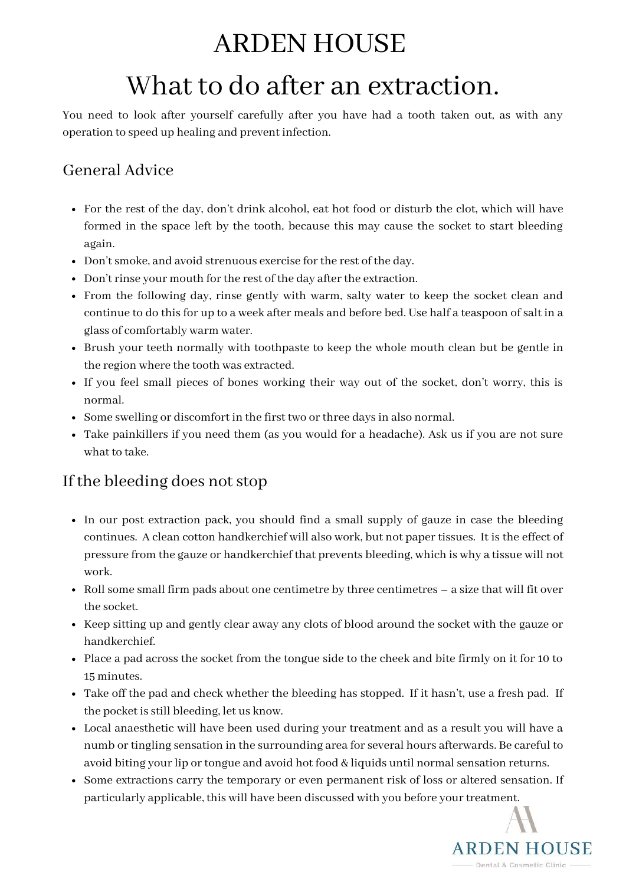## ARDEN HOUSE

# What to do after an extraction.

You need to look after yourself carefully after you have had a tooth taken out, as with any operation to speed up healing and prevent infection.

### General Advice

- For the rest of the day, don't drink alcohol, eat hot food or disturb the clot, which will have formed in the space left by the tooth, because this may cause the socket to start bleeding again.
- Don't smoke, and avoid strenuous exercise for the rest of the day.
- Don't rinse your mouth for the rest of the day after the extraction.
- From the following day, rinse gently with warm, salty water to keep the socket clean and continue to do this for up to a week after meals and before bed. Use half a teaspoon of salt in a glass of comfortably warm water.
- Brush your teeth normally with toothpaste to keep the whole mouth clean but be gentle in the region where the tooth was extracted.
- If you feel small pieces of bones working their way out of the socket, don't worry, this is normal.
- Some swelling or discomfort in the first two or three days in also normal.
- Take painkillers if you need them (as you would for a headache). Ask us if you are not sure what to take.

#### If the bleeding does not stop

- In our post extraction pack, you should find a small supply of gauze in case the bleeding continues. A clean cotton handkerchief will also work, but not paper tissues. It is the effect of pressure from the gauze or handkerchief that prevents bleeding, which is why a tissue will not work.
- Roll some small firm pads about one centimetre by three centimetres a size that will fit over the socket.
- Keep sitting up and gently clear away any clots of blood around the socket with the gauze or handkerchief.
- Place a pad across the socket from the tongue side to the cheek and bite firmly on it for 10 to 15 minutes.
- Take off the pad and check whether the bleeding has stopped. If it hasn't, use a fresh pad. If the pocket is still bleeding, let us know.
- Local anaesthetic will have been used during your treatment and as a result you will have a numb or tingling sensation in the surrounding area for several hours afterwards. Be careful to avoid biting your lip or tongue and avoid hot food & liquids until normal sensation returns.
- Some extractions carry the temporary or even permanent risk of loss or altered sensation. If particularly applicable, this will have been discussed with you before your treatment.